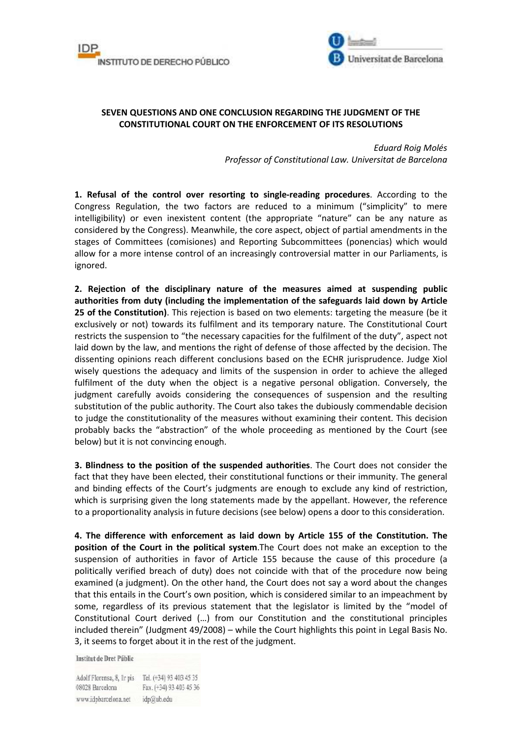



## **SEVEN QUESTIONS AND ONE CONCLUSION REGARDING THE JUDGMENT OF THE CONSTITUTIONAL COURT ON THE ENFORCEMENT OF ITS RESOLUTIONS**

*Eduard Roig Molés Professor of Constitutional Law. Universitat de Barcelona* 

**1. Refusal of the control over resorting to single-reading procedures**. According to the Congress Regulation, the two factors are reduced to a minimum ("simplicity" to mere intelligibility) or even inexistent content (the appropriate "nature" can be any nature as considered by the Congress). Meanwhile, the core aspect, object of partial amendments in the stages of Committees (comisiones) and Reporting Subcommittees (ponencias) which would allow for a more intense control of an increasingly controversial matter in our Parliaments, is ignored.

**2. Rejection of the disciplinary nature of the measures aimed at suspending public authorities from duty (including the implementation of the safeguards laid down by Article 25 of the Constitution)**. This rejection is based on two elements: targeting the measure (be it exclusively or not) towards its fulfilment and its temporary nature. The Constitutional Court restricts the suspension to "the necessary capacities for the fulfilment of the duty", aspect not laid down by the law, and mentions the right of defense of those affected by the decision. The dissenting opinions reach different conclusions based on the ECHR jurisprudence. Judge Xiol wisely questions the adequacy and limits of the suspension in order to achieve the alleged fulfilment of the duty when the object is a negative personal obligation. Conversely, the judgment carefully avoids considering the consequences of suspension and the resulting substitution of the public authority. The Court also takes the dubiously commendable decision to judge the constitutionality of the measures without examining their content. This decision probably backs the "abstraction" of the whole proceeding as mentioned by the Court (see below) but it is not convincing enough.

**3. Blindness to the position of the suspended authorities**. The Court does not consider the fact that they have been elected, their constitutional functions or their immunity. The general and binding effects of the Court's judgments are enough to exclude any kind of restriction, which is surprising given the long statements made by the appellant. However, the reference to a proportionality analysis in future decisions (see below) opens a door to this consideration.

**4. The difference with enforcement as laid down by Article 155 of the Constitution. The position of the Court in the political system**.The Court does not make an exception to the suspension of authorities in favor of Article 155 because the cause of this procedure (a politically verified breach of duty) does not coincide with that of the procedure now being examined (a judgment). On the other hand, the Court does not say a word about the changes that this entails in the Court's own position, which is considered similar to an impeachment by some, regardless of its previous statement that the legislator is limited by the "model of Constitutional Court derived (…) from our Constitution and the constitutional principles included therein" (Judgment 49/2008) – while the Court highlights this point in Legal Basis No. 3, it seems to forget about it in the rest of the judgment.

Institut de Dret Públic

Adolf Florensa, 8, Ir pis Tel. (+34) 93 403 45 35 08028 Barcelona Fax. (+34) 93 403 45 36 www.idpbarcelona.net idp@ub.edu